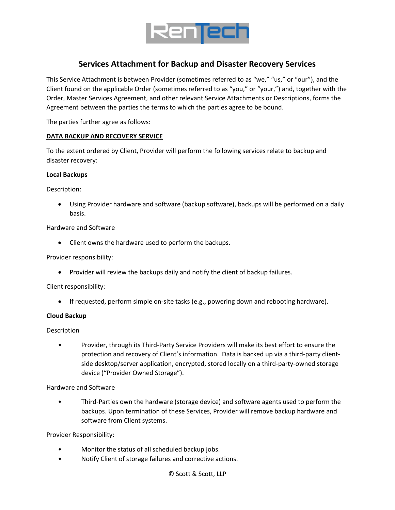

# **Services Attachment for Backup and Disaster Recovery Services**

This Service Attachment is between Provider (sometimes referred to as "we," "us," or "our"), and the Client found on the applicable Order (sometimes referred to as "you," or "your,") and, together with the Order, Master Services Agreement, and other relevant Service Attachments or Descriptions, forms the Agreement between the parties the terms to which the parties agree to be bound.

The parties further agree as follows:

#### **DATA BACKUP AND RECOVERY SERVICE**

To the extent ordered by Client, Provider will perform the following services relate to backup and disaster recovery:

#### **Local Backups**

Description:

• Using Provider hardware and software (backup software), backups will be performed on a daily basis.

#### Hardware and Software

• Client owns the hardware used to perform the backups.

Provider responsibility:

• Provider will review the backups daily and notify the client of backup failures.

Client responsibility:

• If requested, perform simple on-site tasks (e.g., powering down and rebooting hardware).

#### **Cloud Backup**

Description

• Provider, through its Third-Party Service Providers will make its best effort to ensure the protection and recovery of Client's information. Data is backed up via a third-party clientside desktop/server application, encrypted, stored locally on a third-party-owned storage device ("Provider Owned Storage").

Hardware and Software

• Third-Parties own the hardware (storage device) and software agents used to perform the backups. Upon termination of these Services, Provider will remove backup hardware and software from Client systems.

Provider Responsibility:

- Monitor the status of all scheduled backup jobs.
- Notify Client of storage failures and corrective actions.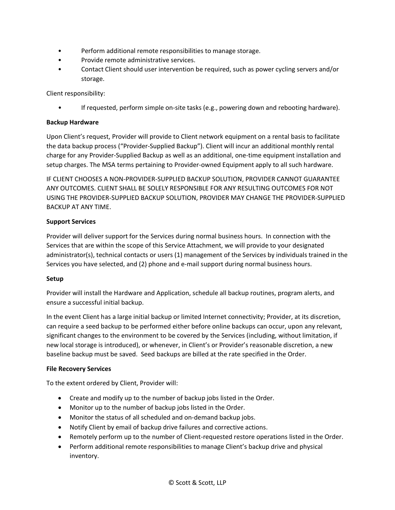- Perform additional remote responsibilities to manage storage.
- Provide remote administrative services.
- Contact Client should user intervention be required, such as power cycling servers and/or storage.

Client responsibility:

• If requested, perform simple on-site tasks (e.g., powering down and rebooting hardware).

## **Backup Hardware**

Upon Client's request, Provider will provide to Client network equipment on a rental basis to facilitate the data backup process ("Provider-Supplied Backup"). Client will incur an additional monthly rental charge for any Provider-Supplied Backup as well as an additional, one-time equipment installation and setup charges. The MSA terms pertaining to Provider-owned Equipment apply to all such hardware.

IF CLIENT CHOOSES A NON-PROVIDER-SUPPLIED BACKUP SOLUTION, PROVIDER CANNOT GUARANTEE ANY OUTCOMES. CLIENT SHALL BE SOLELY RESPONSIBLE FOR ANY RESULTING OUTCOMES FOR NOT USING THE PROVIDER-SUPPLIED BACKUP SOLUTION, PROVIDER MAY CHANGE THE PROVIDER-SUPPLIED BACKUP AT ANY TIME.

## **Support Services**

Provider will deliver support for the Services during normal business hours. In connection with the Services that are within the scope of this Service Attachment, we will provide to your designated administrator(s), technical contacts or users (1) management of the Services by individuals trained in the Services you have selected, and (2) phone and e-mail support during normal business hours.

#### **Setup**

Provider will install the Hardware and Application, schedule all backup routines, program alerts, and ensure a successful initial backup.

In the event Client has a large initial backup or limited Internet connectivity; Provider, at its discretion, can require a seed backup to be performed either before online backups can occur, upon any relevant, significant changes to the environment to be covered by the Services (including, without limitation, if new local storage is introduced), or whenever, in Client's or Provider's reasonable discretion, a new baseline backup must be saved. Seed backups are billed at the rate specified in the Order.

#### **File Recovery Services**

To the extent ordered by Client, Provider will:

- Create and modify up to the number of backup jobs listed in the Order.
- Monitor up to the number of backup jobs listed in the Order.
- Monitor the status of all scheduled and on-demand backup jobs.
- Notify Client by email of backup drive failures and corrective actions.
- Remotely perform up to the number of Client-requested restore operations listed in the Order.
- Perform additional remote responsibilities to manage Client's backup drive and physical inventory.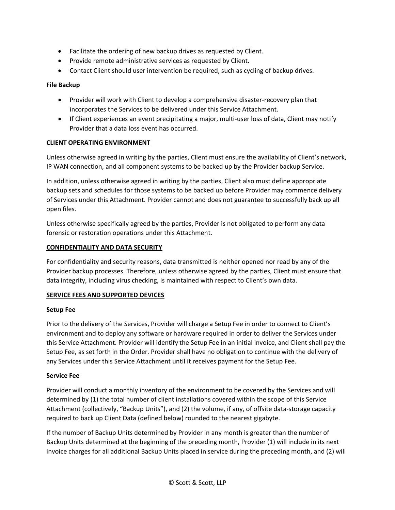- Facilitate the ordering of new backup drives as requested by Client.
- Provide remote administrative services as requested by Client.
- Contact Client should user intervention be required, such as cycling of backup drives.

## **File Backup**

- Provider will work with Client to develop a comprehensive disaster-recovery plan that incorporates the Services to be delivered under this Service Attachment.
- If Client experiences an event precipitating a major, multi-user loss of data, Client may notify Provider that a data loss event has occurred.

## **CLIENT OPERATING ENVIRONMENT**

Unless otherwise agreed in writing by the parties, Client must ensure the availability of Client's network, IP WAN connection, and all component systems to be backed up by the Provider backup Service.

In addition, unless otherwise agreed in writing by the parties, Client also must define appropriate backup sets and schedules for those systems to be backed up before Provider may commence delivery of Services under this Attachment. Provider cannot and does not guarantee to successfully back up all open files.

Unless otherwise specifically agreed by the parties, Provider is not obligated to perform any data forensic or restoration operations under this Attachment.

## **CONFIDENTIALITY AND DATA SECURITY**

For confidentiality and security reasons, data transmitted is neither opened nor read by any of the Provider backup processes. Therefore, unless otherwise agreed by the parties, Client must ensure that data integrity, including virus checking, is maintained with respect to Client's own data.

#### **SERVICE FEES AND SUPPORTED DEVICES**

#### **Setup Fee**

Prior to the delivery of the Services, Provider will charge a Setup Fee in order to connect to Client's environment and to deploy any software or hardware required in order to deliver the Services under this Service Attachment. Provider will identify the Setup Fee in an initial invoice, and Client shall pay the Setup Fee, as set forth in the Order. Provider shall have no obligation to continue with the delivery of any Services under this Service Attachment until it receives payment for the Setup Fee.

#### **Service Fee**

Provider will conduct a monthly inventory of the environment to be covered by the Services and will determined by (1) the total number of client installations covered within the scope of this Service Attachment (collectively, "Backup Units"), and (2) the volume, if any, of offsite data-storage capacity required to back up Client Data (defined below) rounded to the nearest gigabyte.

If the number of Backup Units determined by Provider in any month is greater than the number of Backup Units determined at the beginning of the preceding month, Provider (1) will include in its next invoice charges for all additional Backup Units placed in service during the preceding month, and (2) will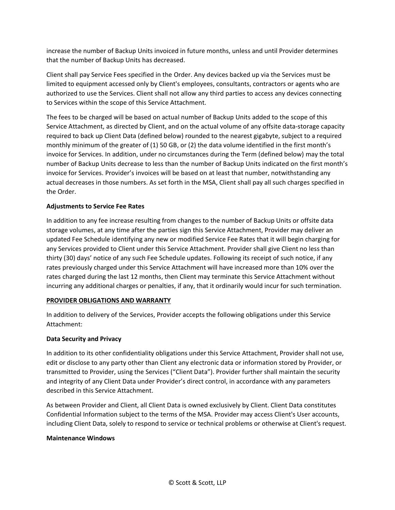increase the number of Backup Units invoiced in future months, unless and until Provider determines that the number of Backup Units has decreased.

Client shall pay Service Fees specified in the Order. Any devices backed up via the Services must be limited to equipment accessed only by Client's employees, consultants, contractors or agents who are authorized to use the Services. Client shall not allow any third parties to access any devices connecting to Services within the scope of this Service Attachment.

The fees to be charged will be based on actual number of Backup Units added to the scope of this Service Attachment, as directed by Client, and on the actual volume of any offsite data-storage capacity required to back up Client Data (defined below) rounded to the nearest gigabyte, subject to a required monthly minimum of the greater of (1) 50 GB, or (2) the data volume identified in the first month's invoice for Services. In addition, under no circumstances during the Term (defined below) may the total number of Backup Units decrease to less than the number of Backup Units indicated on the first month's invoice for Services. Provider's invoices will be based on at least that number, notwithstanding any actual decreases in those numbers. As set forth in the MSA, Client shall pay all such charges specified in the Order.

## **Adjustments to Service Fee Rates**

In addition to any fee increase resulting from changes to the number of Backup Units or offsite data storage volumes, at any time after the parties sign this Service Attachment, Provider may deliver an updated Fee Schedule identifying any new or modified Service Fee Rates that it will begin charging for any Services provided to Client under this Service Attachment. Provider shall give Client no less than thirty (30) days' notice of any such Fee Schedule updates. Following its receipt of such notice, if any rates previously charged under this Service Attachment will have increased more than 10% over the rates charged during the last 12 months, then Client may terminate this Service Attachment without incurring any additional charges or penalties, if any, that it ordinarily would incur for such termination.

#### **PROVIDER OBLIGATIONS AND WARRANTY**

In addition to delivery of the Services, Provider accepts the following obligations under this Service Attachment:

#### **Data Security and Privacy**

In addition to its other confidentiality obligations under this Service Attachment, Provider shall not use, edit or disclose to any party other than Client any electronic data or information stored by Provider, or transmitted to Provider, using the Services ("Client Data"). Provider further shall maintain the security and integrity of any Client Data under Provider's direct control, in accordance with any parameters described in this Service Attachment.

As between Provider and Client, all Client Data is owned exclusively by Client. Client Data constitutes Confidential Information subject to the terms of the MSA. Provider may access Client's User accounts, including Client Data, solely to respond to service or technical problems or otherwise at Client's request.

#### **Maintenance Windows**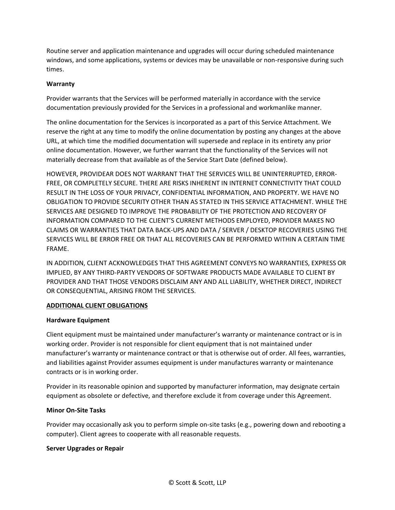Routine server and application maintenance and upgrades will occur during scheduled maintenance windows, and some applications, systems or devices may be unavailable or non-responsive during such times.

## **Warranty**

Provider warrants that the Services will be performed materially in accordance with the service documentation previously provided for the Services in a professional and workmanlike manner.

The online documentation for the Services is incorporated as a part of this Service Attachment. We reserve the right at any time to modify the online documentation by posting any changes at the above URL, at which time the modified documentation will supersede and replace in its entirety any prior online documentation. However, we further warrant that the functionality of the Services will not materially decrease from that available as of the Service Start Date (defined below).

HOWEVER, PROVIDEAR DOES NOT WARRANT THAT THE SERVICES WILL BE UNINTERRUPTED, ERROR-FREE, OR COMPLETELY SECURE. THERE ARE RISKS INHERENT IN INTERNET CONNECTIVITY THAT COULD RESULT IN THE LOSS OF YOUR PRIVACY, CONFIDENTIAL INFORMATION, AND PROPERTY. WE HAVE NO OBLIGATION TO PROVIDE SECURITY OTHER THAN AS STATED IN THIS SERVICE ATTACHMENT. WHILE THE SERVICES ARE DESIGNED TO IMPROVE THE PROBABILITY OF THE PROTECTION AND RECOVERY OF INFORMATION COMPARED TO THE CLIENT'S CURRENT METHODS EMPLOYED, PROVIDER MAKES NO CLAIMS OR WARRANTIES THAT DATA BACK-UPS AND DATA / SERVER / DESKTOP RECOVERIES USING THE SERVICES WILL BE ERROR FREE OR THAT ALL RECOVERIES CAN BE PERFORMED WITHIN A CERTAIN TIME FRAME.

IN ADDITION, CLIENT ACKNOWLEDGES THAT THIS AGREEMENT CONVEYS NO WARRANTIES, EXPRESS OR IMPLIED, BY ANY THIRD-PARTY VENDORS OF SOFTWARE PRODUCTS MADE AVAILABLE TO CLIENT BY PROVIDER AND THAT THOSE VENDORS DISCLAIM ANY AND ALL LIABILITY, WHETHER DIRECT, INDIRECT OR CONSEQUENTIAL, ARISING FROM THE SERVICES.

#### **ADDITIONAL CLIENT OBLIGATIONS**

#### **Hardware Equipment**

Client equipment must be maintained under manufacturer's warranty or maintenance contract or is in working order. Provider is not responsible for client equipment that is not maintained under manufacturer's warranty or maintenance contract or that is otherwise out of order. All fees, warranties, and liabilities against Provider assumes equipment is under manufactures warranty or maintenance contracts or is in working order.

Provider in its reasonable opinion and supported by manufacturer information, may designate certain equipment as obsolete or defective, and therefore exclude it from coverage under this Agreement.

#### **Minor On-Site Tasks**

Provider may occasionally ask you to perform simple on-site tasks (e.g., powering down and rebooting a computer). Client agrees to cooperate with all reasonable requests.

#### **Server Upgrades or Repair**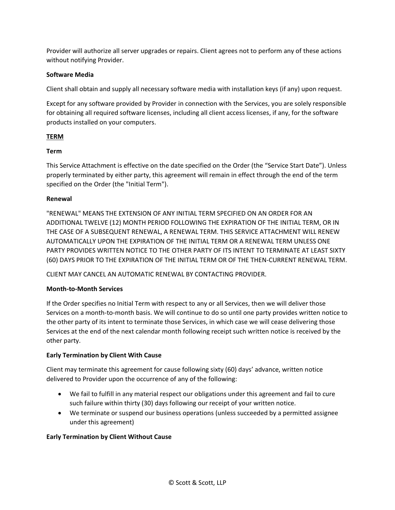Provider will authorize all server upgrades or repairs. Client agrees not to perform any of these actions without notifying Provider.

## **Software Media**

Client shall obtain and supply all necessary software media with installation keys (if any) upon request.

Except for any software provided by Provider in connection with the Services, you are solely responsible for obtaining all required software licenses, including all client access licenses, if any, for the software products installed on your computers.

## **TERM**

#### **Term**

This Service Attachment is effective on the date specified on the Order (the "Service Start Date"). Unless properly terminated by either party, this agreement will remain in effect through the end of the term specified on the Order (the "Initial Term").

#### **Renewal**

"RENEWAL" MEANS THE EXTENSION OF ANY INITIAL TERM SPECIFIED ON AN ORDER FOR AN ADDITIONAL TWELVE (12) MONTH PERIOD FOLLOWING THE EXPIRATION OF THE INITIAL TERM, OR IN THE CASE OF A SUBSEQUENT RENEWAL, A RENEWAL TERM. THIS SERVICE ATTACHMENT WILL RENEW AUTOMATICALLY UPON THE EXPIRATION OF THE INITIAL TERM OR A RENEWAL TERM UNLESS ONE PARTY PROVIDES WRITTEN NOTICE TO THE OTHER PARTY OF ITS INTENT TO TERMINATE AT LEAST SIXTY (60) DAYS PRIOR TO THE EXPIRATION OF THE INITIAL TERM OR OF THE THEN-CURRENT RENEWAL TERM.

CLIENT MAY CANCEL AN AUTOMATIC RENEWAL BY CONTACTING PROVIDER.

#### **Month-to-Month Services**

If the Order specifies no Initial Term with respect to any or all Services, then we will deliver those Services on a month-to-month basis. We will continue to do so until one party provides written notice to the other party of its intent to terminate those Services, in which case we will cease delivering those Services at the end of the next calendar month following receipt such written notice is received by the other party.

#### **Early Termination by Client With Cause**

Client may terminate this agreement for cause following sixty (60) days' advance, written notice delivered to Provider upon the occurrence of any of the following:

- We fail to fulfill in any material respect our obligations under this agreement and fail to cure such failure within thirty (30) days following our receipt of your written notice.
- We terminate or suspend our business operations (unless succeeded by a permitted assignee under this agreement)

#### **Early Termination by Client Without Cause**